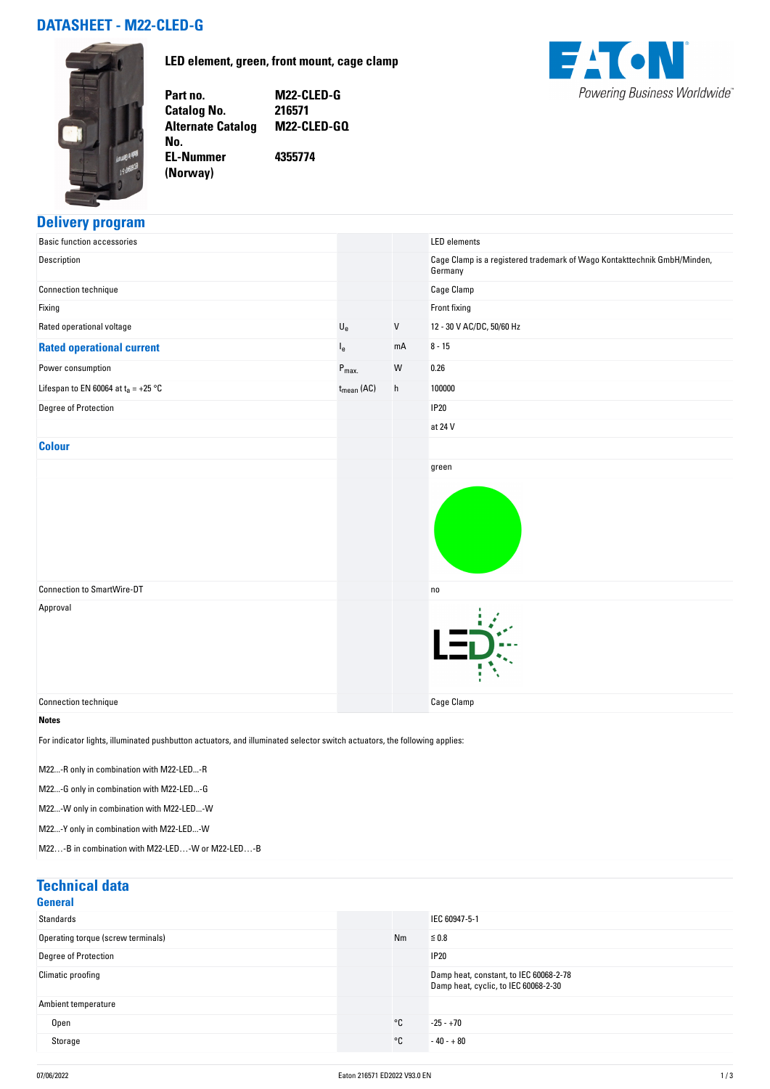## **DATASHEET - M22-CLED-G**

**LED element, green, front mount, cage clamp**



**Part no. M22-CLED-G Alternate Catalog M22-CLED-GQ 4355774**



### **Delivery program**

| <b>Basic function accessories</b>                                                                                         |                           |    | LED elements                                                                        |
|---------------------------------------------------------------------------------------------------------------------------|---------------------------|----|-------------------------------------------------------------------------------------|
| Description                                                                                                               |                           |    | Cage Clamp is a registered trademark of Wago Kontakttechnik GmbH/Minden,<br>Germany |
| Connection technique                                                                                                      |                           |    | Cage Clamp                                                                          |
| Fixing                                                                                                                    |                           |    | Front fixing                                                                        |
| Rated operational voltage                                                                                                 | $\mathsf{U}_{\mathrm{e}}$ | V  | 12 - 30 V AC/DC, 50/60 Hz                                                           |
| <b>Rated operational current</b>                                                                                          | l <sub>e</sub>            | mA | $8 - 15$                                                                            |
| Power consumption                                                                                                         | $P_{\text{max}}$          | W  | 0.26                                                                                |
| Lifespan to EN 60064 at $t_a = +25$ °C                                                                                    | $t_{mean}$ (AC)           | h  | 100000                                                                              |
| Degree of Protection                                                                                                      |                           |    | <b>IP20</b>                                                                         |
|                                                                                                                           |                           |    | at 24 V                                                                             |
| <b>Colour</b>                                                                                                             |                           |    |                                                                                     |
|                                                                                                                           |                           |    | green                                                                               |
|                                                                                                                           |                           |    |                                                                                     |
| <b>Connection to SmartWire-DT</b>                                                                                         |                           |    | no                                                                                  |
| Approval                                                                                                                  |                           |    |                                                                                     |
| Connection technique                                                                                                      |                           |    | <b>Cage Clamp</b>                                                                   |
| <b>Notes</b>                                                                                                              |                           |    |                                                                                     |
| For indicator lights, illuminated pushbutton actuators, and illuminated selector switch actuators, the following applies: |                           |    |                                                                                     |
| M22-R only in combination with M22-LED-R                                                                                  |                           |    |                                                                                     |

M22...-G only in combination with M22-LED...-G

M22...-W only in combination with M22-LED...-W

M22...-Y only in combination with M22-LED...-W

M22…-B in combination with M22-LED…-W or M22-LED…-B

| <b>Technical data</b>              |    |                                                                                |
|------------------------------------|----|--------------------------------------------------------------------------------|
| <b>General</b>                     |    |                                                                                |
| Standards                          |    | IEC 60947-5-1                                                                  |
| Operating torque (screw terminals) | Nm | $\leq 0.8$                                                                     |
| <b>Degree of Protection</b>        |    | <b>IP20</b>                                                                    |
| Climatic proofing                  |    | Damp heat, constant, to IEC 60068-2-78<br>Damp heat, cyclic, to IEC 60068-2-30 |
| Ambient temperature                |    |                                                                                |
| Open                               | °C | $-25 - +70$                                                                    |
| Storage                            | °€ | $-40 - +80$                                                                    |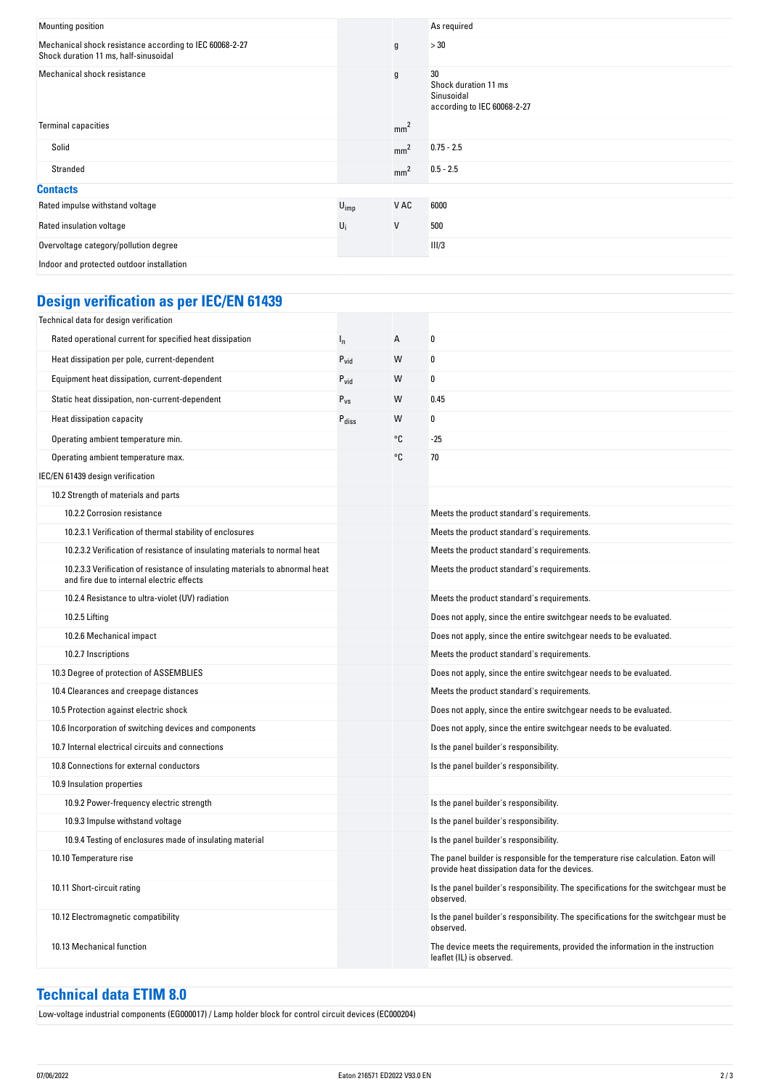| Mounting position                                                                                |           |                 | As required                                                             |
|--------------------------------------------------------------------------------------------------|-----------|-----------------|-------------------------------------------------------------------------|
| Mechanical shock resistance according to IEC 60068-2-27<br>Shock duration 11 ms, half-sinusoidal |           | g               | >30                                                                     |
| Mechanical shock resistance                                                                      |           | $\mathfrak g$   | 30<br>Shock duration 11 ms<br>Sinusoidal<br>according to IEC 60068-2-27 |
| <b>Terminal capacities</b>                                                                       |           | mm <sup>2</sup> |                                                                         |
| Solid                                                                                            |           | mm <sup>2</sup> | $0.75 - 2.5$                                                            |
| Stranded                                                                                         |           | mm <sup>2</sup> | $0.5 - 2.5$                                                             |
| <b>Contacts</b>                                                                                  |           |                 |                                                                         |
| Rated impulse withstand voltage                                                                  | $U_{imp}$ | V AC            | 6000                                                                    |
| Rated insulation voltage                                                                         | $U_i$     | V               | 500                                                                     |
| Overvoltage category/pollution degree                                                            |           |                 | III/3                                                                   |
| Indoor and protected outdoor installation                                                        |           |                 |                                                                         |

# **Design verification as per IEC/EN 61439**

| Technical data for design verification                                                                                    |                   |    |                                                                                                                                     |
|---------------------------------------------------------------------------------------------------------------------------|-------------------|----|-------------------------------------------------------------------------------------------------------------------------------------|
| Rated operational current for specified heat dissipation                                                                  | $I_n$             | А  | 0                                                                                                                                   |
| Heat dissipation per pole, current-dependent                                                                              | $P_{\text{vid}}$  | W  | 0                                                                                                                                   |
| Equipment heat dissipation, current-dependent                                                                             | $P_{\text{vid}}$  | W  | 0                                                                                                                                   |
| Static heat dissipation, non-current-dependent                                                                            | $P_{VS}$          | W  | 0.45                                                                                                                                |
| Heat dissipation capacity                                                                                                 | $P_{\text{diss}}$ | W  | 0                                                                                                                                   |
| Operating ambient temperature min.                                                                                        |                   | °C | $-25$                                                                                                                               |
| Operating ambient temperature max.                                                                                        |                   | °C | 70                                                                                                                                  |
| IEC/EN 61439 design verification                                                                                          |                   |    |                                                                                                                                     |
| 10.2 Strength of materials and parts                                                                                      |                   |    |                                                                                                                                     |
| 10.2.2 Corrosion resistance                                                                                               |                   |    | Meets the product standard's requirements.                                                                                          |
| 10.2.3.1 Verification of thermal stability of enclosures                                                                  |                   |    | Meets the product standard's requirements.                                                                                          |
| 10.2.3.2 Verification of resistance of insulating materials to normal heat                                                |                   |    | Meets the product standard's requirements.                                                                                          |
| 10.2.3.3 Verification of resistance of insulating materials to abnormal heat<br>and fire due to internal electric effects |                   |    | Meets the product standard's requirements.                                                                                          |
| 10.2.4 Resistance to ultra-violet (UV) radiation                                                                          |                   |    | Meets the product standard's requirements.                                                                                          |
| 10.2.5 Lifting                                                                                                            |                   |    | Does not apply, since the entire switchgear needs to be evaluated.                                                                  |
| 10.2.6 Mechanical impact                                                                                                  |                   |    | Does not apply, since the entire switchgear needs to be evaluated.                                                                  |
| 10.2.7 Inscriptions                                                                                                       |                   |    | Meets the product standard's requirements.                                                                                          |
| 10.3 Degree of protection of ASSEMBLIES                                                                                   |                   |    | Does not apply, since the entire switchgear needs to be evaluated.                                                                  |
| 10.4 Clearances and creepage distances                                                                                    |                   |    | Meets the product standard's requirements.                                                                                          |
| 10.5 Protection against electric shock                                                                                    |                   |    | Does not apply, since the entire switchgear needs to be evaluated.                                                                  |
| 10.6 Incorporation of switching devices and components                                                                    |                   |    | Does not apply, since the entire switchgear needs to be evaluated.                                                                  |
| 10.7 Internal electrical circuits and connections                                                                         |                   |    | Is the panel builder's responsibility.                                                                                              |
| 10.8 Connections for external conductors                                                                                  |                   |    | Is the panel builder's responsibility.                                                                                              |
| 10.9 Insulation properties                                                                                                |                   |    |                                                                                                                                     |
| 10.9.2 Power-frequency electric strength                                                                                  |                   |    | Is the panel builder's responsibility.                                                                                              |
| 10.9.3 Impulse withstand voltage                                                                                          |                   |    | Is the panel builder's responsibility.                                                                                              |
| 10.9.4 Testing of enclosures made of insulating material                                                                  |                   |    | Is the panel builder's responsibility.                                                                                              |
| 10.10 Temperature rise                                                                                                    |                   |    | The panel builder is responsible for the temperature rise calculation. Eaton will<br>provide heat dissipation data for the devices. |
| 10.11 Short-circuit rating                                                                                                |                   |    | Is the panel builder's responsibility. The specifications for the switchgear must be<br>observed.                                   |
| 10.12 Electromagnetic compatibility                                                                                       |                   |    | Is the panel builder's responsibility. The specifications for the switchgear must be<br>observed.                                   |
| 10.13 Mechanical function                                                                                                 |                   |    | The device meets the requirements, provided the information in the instruction<br>leaflet (IL) is observed.                         |

# **Technical data ETIM 8.0**

Low-voltage industrial components (EG000017) / Lamp holder block for control circuit devices (EC000204)